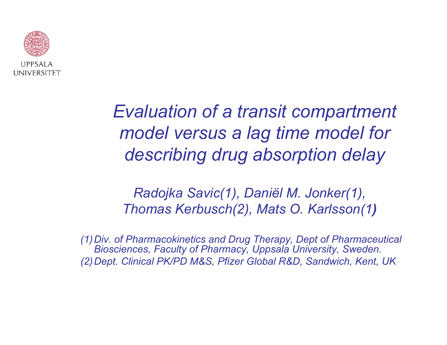

*Evaluation of a transit compartment model versus a lag time model for describing drug absorption delay*

*Radojka Savic(1), Daniël M. Jonker(1), Thomas Kerbusch(2), Mats O. Karlsson(1 )*

*(1)Div. of Pharmacokinetics and Drug Therapy, Dept of Pharmaceutical Biosciences, Faculty of Pharmacy, Uppsala University, Sweden. (2) Dept. Clinical PK/PD M&S, Pfizer Global R&D, Sandwich, Kent, UK*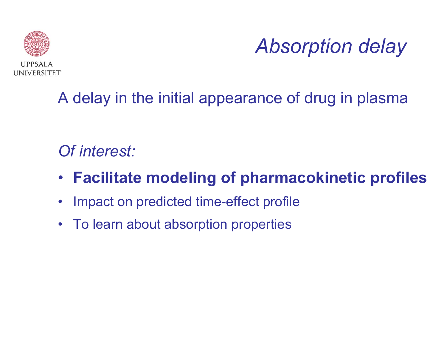

*Absorption delay*

### A delay in the initial appearance of drug in plasma

### *Of interest:*

- **Facilitate modeling of pharmacokinetic profiles**
- $\bullet$ Impact on predicted time-effect profile
- To learn about absorption properties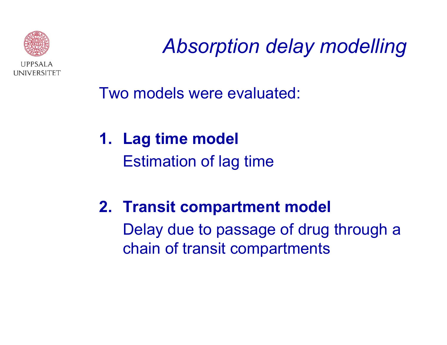

*Absorption delay modelling*

Two models were evaluated:

**1. Lag time model** Estimation of lag time

**2. Transit compartment model** Delay due to passage of drug through a chain of transit compartments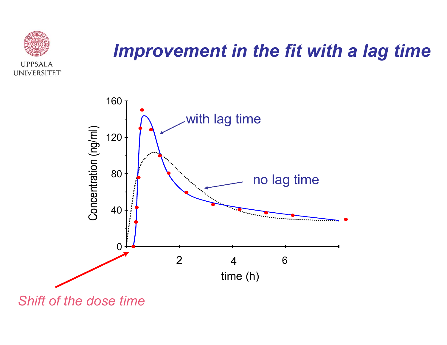

## *Improvement in the fit with a lag time*

![](_page_3_Figure_2.jpeg)

*Shift of the dose time*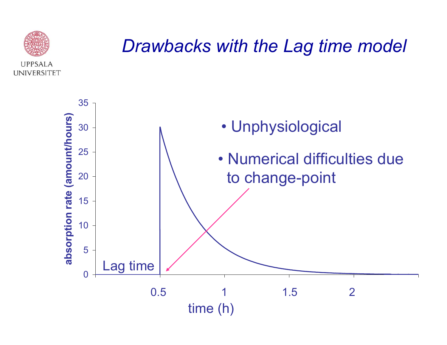![](_page_4_Picture_0.jpeg)

### *Drawbacks with the Lag time model*

![](_page_4_Figure_2.jpeg)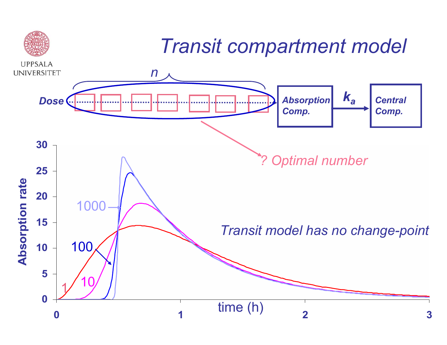![](_page_5_Figure_0.jpeg)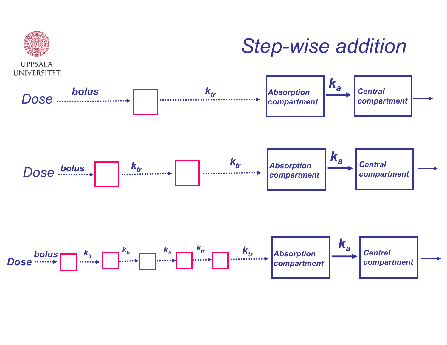![](_page_6_Figure_0.jpeg)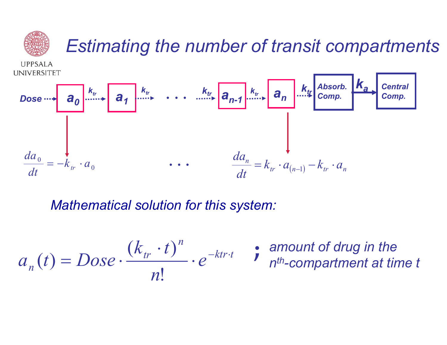![](_page_7_Figure_0.jpeg)

 $\dot{ }$ 

*Mathematical solution for this system:*

$$
a_n(t) = Dose \cdot \frac{(k_{tr} \cdot t)^n}{n!} \cdot e^{-ktr \cdot t} \qquad \text{is amount of drug in the number } t
$$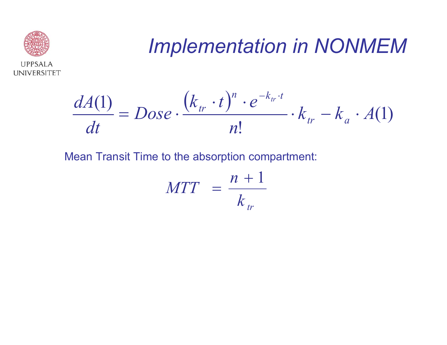![](_page_8_Picture_0.jpeg)

# *Implementation in NONMEM*

![](_page_8_Figure_2.jpeg)

Mean Transit Time to the absorption compartment:

$$
MTT = \frac{n+1}{k_{tr}}
$$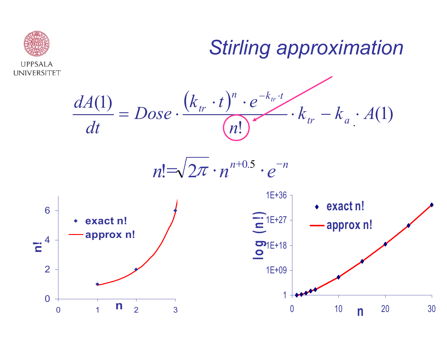![](_page_9_Figure_0.jpeg)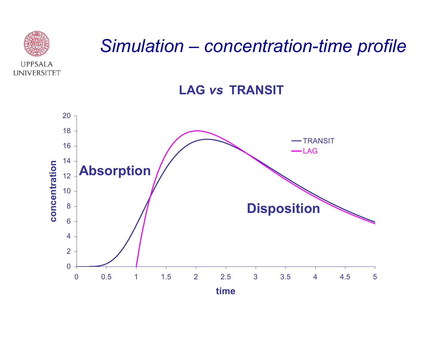![](_page_10_Picture_0.jpeg)

### *Simulation – concentration-time profile*

![](_page_10_Figure_2.jpeg)

![](_page_10_Figure_3.jpeg)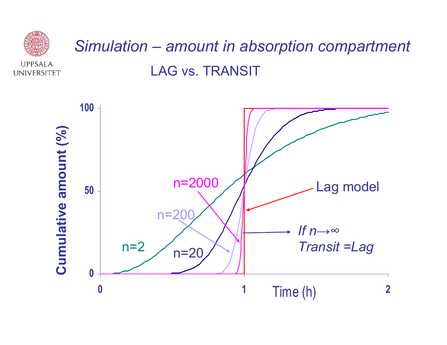![](_page_11_Figure_0.jpeg)

![](_page_11_Figure_1.jpeg)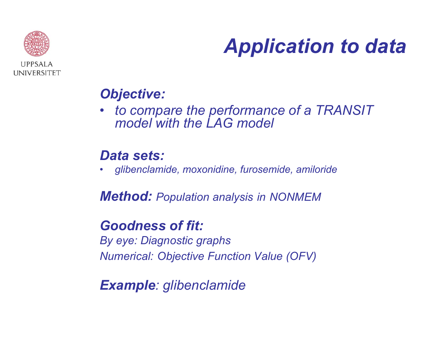![](_page_12_Picture_0.jpeg)

# *Application to data*

#### *Objective:*

• *to compare the performance of a TRANSIT model with the LAG model* 

#### *Data sets:*

•*glibenclamide, moxonidine, furosemide, amiloride*

*Method: Population analysis in NONMEM* 

#### *Goodness of fit:*

*By eye: Diagnostic graphs Numerical: Objective Function Value (OFV)*

#### *Example: glibenclamide*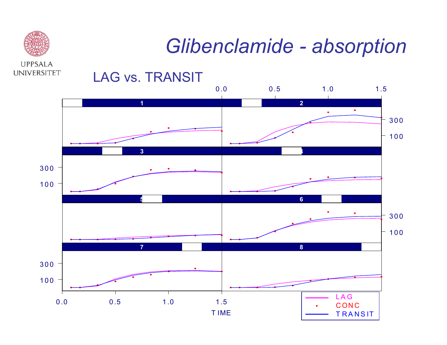![](_page_13_Picture_0.jpeg)

# *Glibenclamide - absorption*

![](_page_13_Figure_2.jpeg)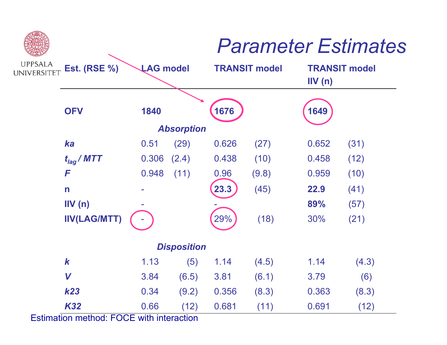## *Parameter Estimates*

| <b>UPPSALA</b><br>UNIVERSITET | <b>Est. (RSE %)</b> | <b>LAG model</b> |       | <b>TRANSIT model</b> |       | <b>TRANSIT model</b><br>IV(n) |       |
|-------------------------------|---------------------|------------------|-------|----------------------|-------|-------------------------------|-------|
|                               | <b>OFV</b>          | 1840             |       | 1676                 |       | 1649                          |       |
|                               | <b>Absorption</b>   |                  |       |                      |       |                               |       |
|                               | ka                  | 0.51             | (29)  | 0.626                | (27)  | 0.652                         | (31)  |
|                               | $t_{lag}$ / MTT     | 0.306            | (2.4) | 0.438                | (10)  | 0.458                         | (12)  |
|                               | F                   | 0.948            | (11)  | 0.96                 | (9.8) | 0.959                         | (10)  |
|                               | $\mathsf{n}$        |                  |       | 23.3                 | (45)  | 22.9                          | (41)  |
|                               | IV(n)               |                  |       |                      |       | 89%                           | (57)  |
|                               | <b>IIV(LAG/MTT)</b> |                  |       | 29%                  | (18)  | 30%                           | (21)  |
|                               | <b>Disposition</b>  |                  |       |                      |       |                               |       |
|                               | $\boldsymbol{k}$    | 1.13             | (5)   | 1.14                 | (4.5) | 1.14                          | (4.3) |
|                               | V                   | 3.84             | (6.5) | 3.81                 | (6.1) | 3.79                          | (6)   |
|                               | <b>k23</b>          | 0.34             | (9.2) | 0.356                | (8.3) | 0.363                         | (8.3) |
|                               | <b>K32</b>          | 0.66             | (12)  | 0.681                | (11)  | 0.691                         | (12)  |

Estimation method: FOCE with interaction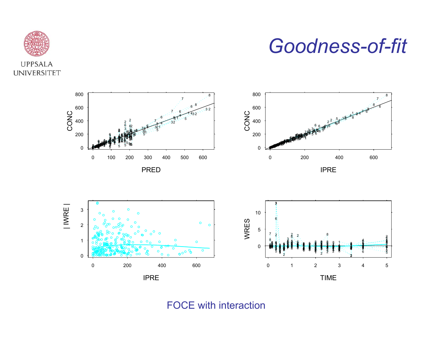![](_page_15_Picture_0.jpeg)

### *Goodness-of-fit*

![](_page_15_Figure_2.jpeg)

![](_page_15_Figure_3.jpeg)

FOCE with int eraction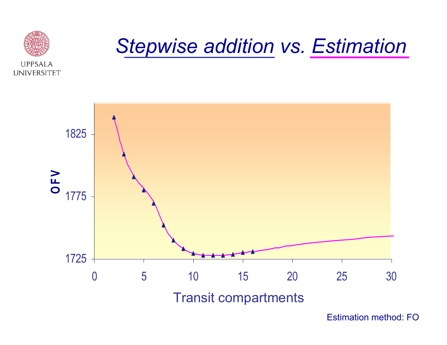![](_page_16_Picture_0.jpeg)

## *Stepwise addition vs. Estimation*

![](_page_16_Figure_2.jpeg)

Estimation method: FO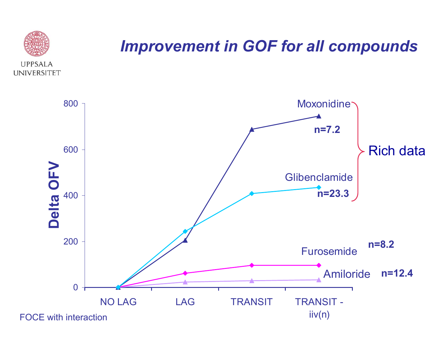![](_page_17_Figure_0.jpeg)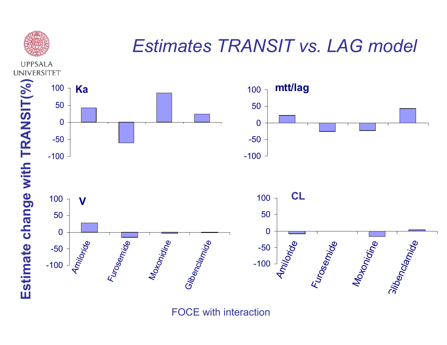![](_page_18_Picture_0.jpeg)

## *Estimates TRANSIT vs. LAG model*

**UPPSALA UNIVERSITET** 

![](_page_18_Figure_3.jpeg)

![](_page_18_Figure_4.jpeg)

FOCE with int eraction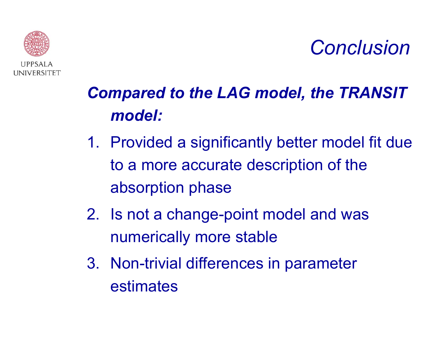### *Conclusion*

![](_page_19_Picture_1.jpeg)

## *Compared to the LAG model, the TRANSIT model:*

- 1. Provided a significantly better model fit due to a more accurate description of the absorption phase
- 2. Is not a change-point model and was numerically more stable
- 3. Non-trivial differences in parameter estimates